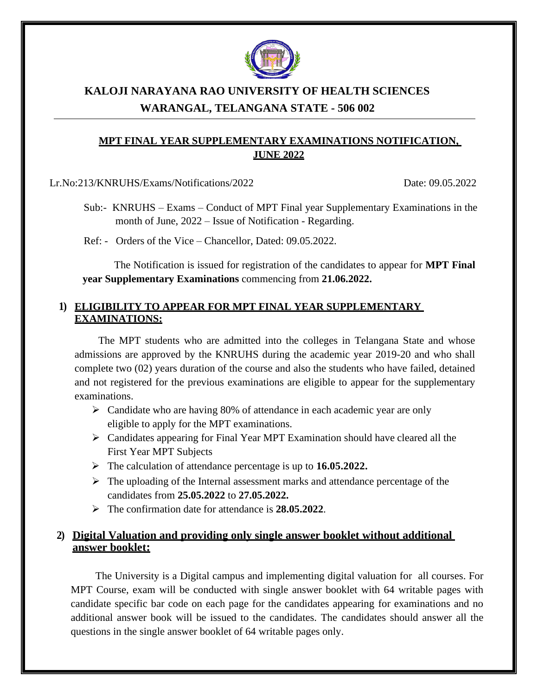

# **KALOJI NARAYANA RAO UNIVERSITY OF HEALTH SCIENCES WARANGAL, TELANGANA STATE - 506 002**

### **MPT FINAL YEAR SUPPLEMENTARY EXAMINATIONS NOTIFICATION, JUNE 2022**

Lr.No:213/KNRUHS/Exams/Notifications/2022 Date: 09.05.2022

- Sub:- KNRUHS Exams Conduct of MPT Final year Supplementary Examinations in the month of June, 2022 – Issue of Notification - Regarding.
- Ref: Orders of the Vice Chancellor, Dated: 09.05.2022.

The Notification is issued for registration of the candidates to appear for **MPT Final year Supplementary Examinations** commencing from **21.06.2022.**

#### **1) ELIGIBILITY TO APPEAR FOR MPT FINAL YEAR SUPPLEMENTARY EXAMINATIONS:**

The MPT students who are admitted into the colleges in Telangana State and whose admissions are approved by the KNRUHS during the academic year 2019-20 and who shall complete two (02) years duration of the course and also the students who have failed, detained and not registered for the previous examinations are eligible to appear for the supplementary examinations.

- $\triangleright$  Candidate who are having 80% of attendance in each academic year are only eligible to apply for the MPT examinations.
- ➢ Candidates appearing for Final Year MPT Examination should have cleared all the First Year MPT Subjects
- ➢ The calculation of attendance percentage is up to **16.05.2022.**
- $\triangleright$  The uploading of the Internal assessment marks and attendance percentage of the candidates from **25.05.2022** to **27.05.2022.**
- ➢ The confirmation date for attendance is **28.05.2022**.

#### **2) Digital Valuation and providing only single answer booklet without additional answer booklet:**

The University is a Digital campus and implementing digital valuation for all courses. For MPT Course, exam will be conducted with single answer booklet with 64 writable pages with candidate specific bar code on each page for the candidates appearing for examinations and no additional answer book will be issued to the candidates. The candidates should answer all the questions in the single answer booklet of 64 writable pages only.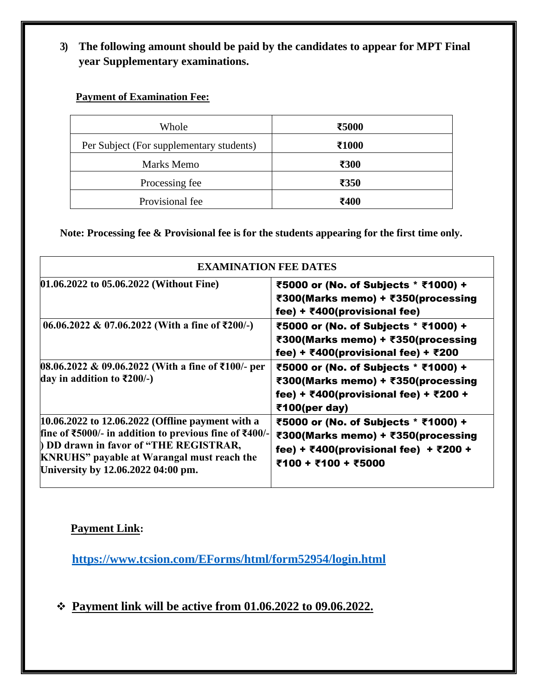**3) The following amount should be paid by the candidates to appear for MPT Final year Supplementary examinations.**

**Payment of Examination Fee:**

| Whole                                    | ₹5000            |
|------------------------------------------|------------------|
| Per Subject (For supplementary students) | ₹1000            |
| Marks Memo                               | ₹300             |
| Processing fee                           | $\overline{350}$ |
| Provisional fee                          | ₹400             |

**Note: Processing fee & Provisional fee is for the students appearing for the first time only.**

| <b>EXAMINATION FEE DATES</b>                                                                                                                                                                                                                   |                                                                                                                                                                                     |  |  |  |
|------------------------------------------------------------------------------------------------------------------------------------------------------------------------------------------------------------------------------------------------|-------------------------------------------------------------------------------------------------------------------------------------------------------------------------------------|--|--|--|
| 01.06.2022 to 05.06.2022 (Without Fine)                                                                                                                                                                                                        | ₹5000 or (No. of Subjects * ₹1000) +<br>₹300(Marks memo) + ₹350(processing<br>fee) + $\bar{\tau}$ 400(provisional fee)                                                              |  |  |  |
| $06.06.2022 \& 07.06.2022$ (With a fine of ₹200/-)                                                                                                                                                                                             | ₹5000 or (No. of Subjects * ₹1000) +<br>₹300(Marks memo) + ₹350(processing<br>fee) + ₹400(provisional fee) + ₹200                                                                   |  |  |  |
| 08.06.2022 & 09.06.2022 (With a fine of ₹100/- per<br>day in addition to ₹200/-)                                                                                                                                                               | ₹5000 or (No. of Subjects * ₹1000) +<br>₹300(Marks memo) + ₹350(processing<br>fee) + ₹400(provisional fee) + ₹200 +<br>$\bar{\tau}$ 100(per day)                                    |  |  |  |
| 10.06.2022 to 12.06.2022 (Offline payment with a<br>fine of ₹5000/- in addition to previous fine of ₹400/-<br>DD drawn in favor of "THE REGISTRAR,<br><b>KNRUHS</b> " payable at Warangal must reach the<br>University by 12.06.2022 04:00 pm. | ₹5000 or (No. of Subjects * ₹1000) +<br>₹300(Marks memo) + ₹350(processing<br>fee) + $\overline{\epsilon}400$ (provisional fee) + $\overline{\epsilon}200$ +<br>₹100 + ₹100 + ₹5000 |  |  |  |

# **Payment Link:**

**<https://www.tcsion.com/EForms/html/form52954/login.html>**

❖ **Payment link will be active from 01.06.2022 to 09.06.2022.**